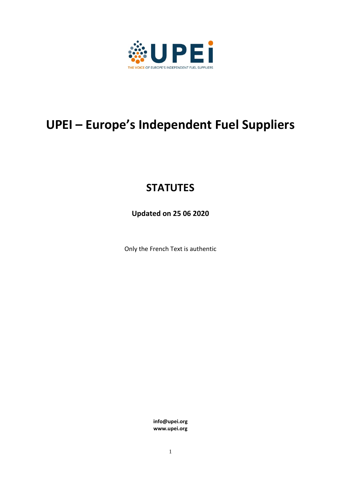

# **UPEI – Europe's Independent Fuel Suppliers**

# **STATUTES**

**Updated on 25 06 2020**

Only the French Text is authentic

**info@upei.org www.upei.org**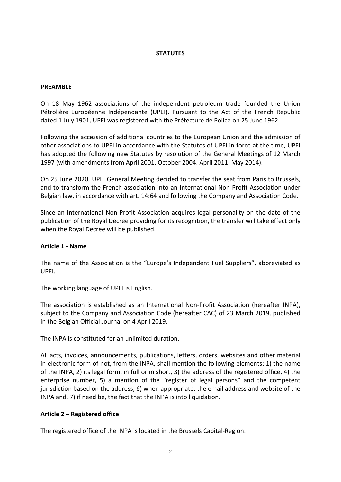# **STATUTES**

#### **PREAMBLE**

On 18 May 1962 associations of the independent petroleum trade founded the Union Pétrolière Européenne Indépendante (UPEI). Pursuant to the Act of the French Republic dated 1 July 1901, UPEI was registered with the Préfecture de Police on 25 June 1962.

Following the accession of additional countries to the European Union and the admission of other associations to UPEI in accordance with the Statutes of UPEI in force at the time, UPEI has adopted the following new Statutes by resolution of the General Meetings of 12 March 1997 (with amendments from April 2001, October 2004, April 2011, May 2014).

On 25 June 2020, UPEI General Meeting decided to transfer the seat from Paris to Brussels, and to transform the French association into an International Non-Profit Association under Belgian law, in accordance with art. 14:64 and following the Company and Association Code.

Since an International Non-Profit Association acquires legal personality on the date of the publication of the Royal Decree providing for its recognition, the transfer will take effect only when the Royal Decree will be published.

#### **Article 1 - Name**

The name of the Association is the "Europe's Independent Fuel Suppliers", abbreviated as UPEI.

The working language of UPEI is English.

The association is established as an International Non-Profit Association (hereafter INPA), subject to the Company and Association Code (hereafter CAC) of 23 March 2019, published in the Belgian Official Journal on 4 April 2019.

The INPA is constituted for an unlimited duration.

All acts, invoices, announcements, publications, letters, orders, websites and other material in electronic form of not, from the INPA, shall mention the following elements: 1) the name of the INPA, 2) its legal form, in full or in short, 3) the address of the registered office, 4) the enterprise number, 5) a mention of the "register of legal persons" and the competent jurisdiction based on the address, 6) when appropriate, the email address and website of the INPA and, 7) if need be, the fact that the INPA is into liquidation.

#### **Article 2 – Registered office**

The registered office of the INPA is located in the Brussels Capital-Region.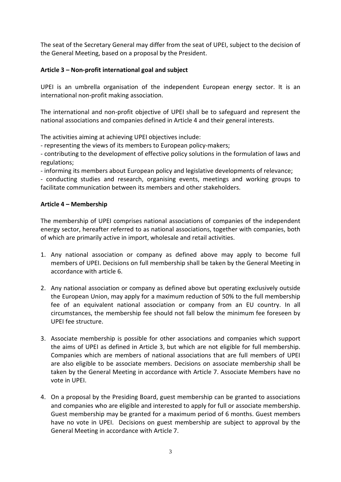The seat of the Secretary General may differ from the seat of UPEI, subject to the decision of the General Meeting, based on a proposal by the President.

# **Article 3 – Non-profit international goal and subject**

UPEI is an umbrella organisation of the independent European energy sector. It is an international non-profit making association.

The international and non-profit objective of UPEI shall be to safeguard and represent the national associations and companies defined in Article 4 and their general interests.

The activities aiming at achieving UPEI objectives include:

- representing the views of its members to European policy-makers;

- contributing to the development of effective policy solutions in the formulation of laws and regulations;

- informing its members about European policy and legislative developments of relevance;

- conducting studies and research, organising events, meetings and working groups to facilitate communication between its members and other stakeholders.

# **Article 4 – Membership**

The membership of UPEI comprises national associations of companies of the independent energy sector, hereafter referred to as national associations, together with companies, both of which are primarily active in import, wholesale and retail activities.

- 1. Any national association or company as defined above may apply to become full members of UPEI. Decisions on full membership shall be taken by the General Meeting in accordance with article 6.
- 2. Any national association or company as defined above but operating exclusively outside the European Union, may apply for a maximum reduction of 50% to the full membership fee of an equivalent national association or company from an EU country. In all circumstances, the membership fee should not fall below the minimum fee foreseen by UPEI fee structure.
- 3. Associate membership is possible for other associations and companies which support the aims of UPEI as defined in Article 3, but which are not eligible for full membership. Companies which are members of national associations that are full members of UPEI are also eligible to be associate members. Decisions on associate membership shall be taken by the General Meeting in accordance with Article 7. Associate Members have no vote in UPEI.
- 4. On a proposal by the Presiding Board, guest membership can be granted to associations and companies who are eligible and interested to apply for full or associate membership. Guest membership may be granted for a maximum period of 6 months. Guest members have no vote in UPEI. Decisions on guest membership are subject to approval by the General Meeting in accordance with Article 7.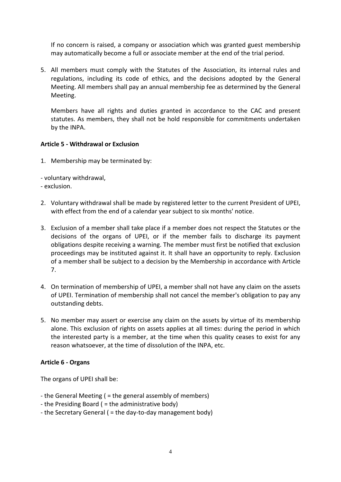If no concern is raised, a company or association which was granted guest membership may automatically become a full or associate member at the end of the trial period.

5. All members must comply with the Statutes of the Association, its internal rules and regulations, including its code of ethics, and the decisions adopted by the General Meeting. All members shall pay an annual membership fee as determined by the General Meeting.

Members have all rights and duties granted in accordance to the CAC and present statutes. As members, they shall not be hold responsible for commitments undertaken by the INPA.

# **Article 5 - Withdrawal or Exclusion**

1. Membership may be terminated by:

- voluntary withdrawal,

- exclusion.

- 2. Voluntary withdrawal shall be made by registered letter to the current President of UPEI, with effect from the end of a calendar year subject to six months' notice.
- 3. Exclusion of a member shall take place if a member does not respect the Statutes or the decisions of the organs of UPEI, or if the member fails to discharge its payment obligations despite receiving a warning. The member must first be notified that exclusion proceedings may be instituted against it. It shall have an opportunity to reply. Exclusion of a member shall be subject to a decision by the Membership in accordance with Article 7.
- 4. On termination of membership of UPEI, a member shall not have any claim on the assets of UPEI. Termination of membership shall not cancel the member's obligation to pay any outstanding debts.
- 5. No member may assert or exercise any claim on the assets by virtue of its membership alone. This exclusion of rights on assets applies at all times: during the period in which the interested party is a member, at the time when this quality ceases to exist for any reason whatsoever, at the time of dissolution of the INPA, etc.

#### **Article 6 - Organs**

The organs of UPEI shall be:

- the General Meeting ( = the general assembly of members)
- the Presiding Board ( = the administrative body)
- the Secretary General ( = the day-to-day management body)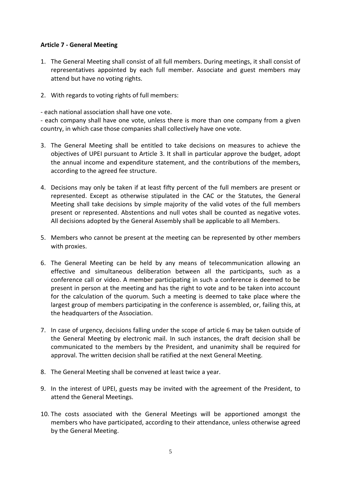# **Article 7 - General Meeting**

- 1. The General Meeting shall consist of all full members. During meetings, it shall consist of representatives appointed by each full member. Associate and guest members may attend but have no voting rights.
- 2. With regards to voting rights of full members:

- each national association shall have one vote.

- each company shall have one vote, unless there is more than one company from a given country, in which case those companies shall collectively have one vote.

- 3. The General Meeting shall be entitled to take decisions on measures to achieve the objectives of UPEI pursuant to Article 3. It shall in particular approve the budget, adopt the annual income and expenditure statement, and the contributions of the members, according to the agreed fee structure.
- 4. Decisions may only be taken if at least fifty percent of the full members are present or represented. Except as otherwise stipulated in the CAC or the Statutes, the General Meeting shall take decisions by simple majority of the valid votes of the full members present or represented. Abstentions and null votes shall be counted as negative votes. All decisions adopted by the General Assembly shall be applicable to all Members.
- 5. Members who cannot be present at the meeting can be represented by other members with proxies.
- 6. The General Meeting can be held by any means of telecommunication allowing an effective and simultaneous deliberation between all the participants, such as a conference call or video. A member participating in such a conference is deemed to be present in person at the meeting and has the right to vote and to be taken into account for the calculation of the quorum. Such a meeting is deemed to take place where the largest group of members participating in the conference is assembled, or, failing this, at the headquarters of the Association.
- 7. In case of urgency, decisions falling under the scope of article 6 may be taken outside of the General Meeting by electronic mail. In such instances, the draft decision shall be communicated to the members by the President, and unanimity shall be required for approval. The written decision shall be ratified at the next General Meeting.
- 8. The General Meeting shall be convened at least twice a year.
- 9. In the interest of UPEI, guests may be invited with the agreement of the President, to attend the General Meetings.
- 10. The costs associated with the General Meetings will be apportioned amongst the members who have participated, according to their attendance, unless otherwise agreed by the General Meeting.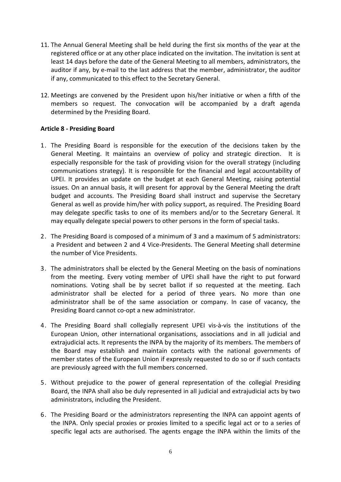- 11. The Annual General Meeting shall be held during the first six months of the year at the registered office or at any other place indicated on the invitation. The invitation is sent at least 14 days before the date of the General Meeting to all members, administrators, the auditor if any, by e-mail to the last address that the member, administrator, the auditor if any, communicated to this effect to the Secretary General.
- 12. Meetings are convened by the President upon his/her initiative or when a fifth of the members so request. The convocation will be accompanied by a draft agenda determined by the Presiding Board.

# **Article 8 - Presiding Board**

- 1. The Presiding Board is responsible for the execution of the decisions taken by the General Meeting. It maintains an overview of policy and strategic direction. It is especially responsible for the task of providing vision for the overall strategy (including communications strategy). It is responsible for the financial and legal accountability of UPEI. It provides an update on the budget at each General Meeting, raising potential issues. On an annual basis, it will present for approval by the General Meeting the draft budget and accounts. The Presiding Board shall instruct and supervise the Secretary General as well as provide him/her with policy support, as required. The Presiding Board may delegate specific tasks to one of its members and/or to the Secretary General. It may equally delegate special powers to other persons in the form of special tasks.
- 2. The Presiding Board is composed of a minimum of 3 and a maximum of 5 administrators: a President and between 2 and 4 Vice-Presidents. The General Meeting shall determine the number of Vice Presidents.
- 3. The administrators shall be elected by the General Meeting on the basis of nominations from the meeting. Every voting member of UPEI shall have the right to put forward nominations. Voting shall be by secret ballot if so requested at the meeting. Each administrator shall be elected for a period of three years. No more than one administrator shall be of the same association or company. In case of vacancy, the Presiding Board cannot co-opt a new administrator.
- 4. The Presiding Board shall collegially represent UPEI vis-à-vis the institutions of the European Union, other international organisations, associations and in all judicial and extrajudicial acts. It represents the INPA by the majority of its members. The members of the Board may establish and maintain contacts with the national governments of member states of the European Union if expressly requested to do so or if such contacts are previously agreed with the full members concerned.
- 5. Without prejudice to the power of general representation of the collegial Presiding Board, the INPA shall also be duly represented in all judicial and extrajudicial acts by two administrators, including the President.
- 6. The Presiding Board or the administrators representing the INPA can appoint agents of the INPA. Only special proxies or proxies limited to a specific legal act or to a series of specific legal acts are authorised. The agents engage the INPA within the limits of the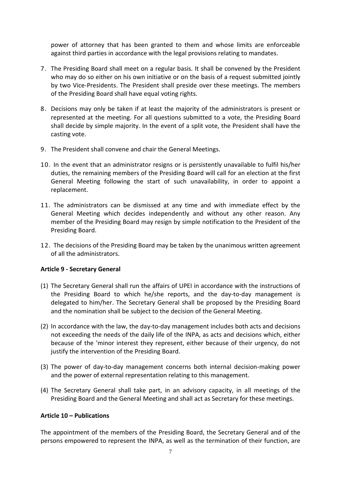power of attorney that has been granted to them and whose limits are enforceable against third parties in accordance with the legal provisions relating to mandates.

- 7. The Presiding Board shall meet on a regular basis. It shall be convened by the President who may do so either on his own initiative or on the basis of a request submitted jointly by two Vice-Presidents. The President shall preside over these meetings. The members of the Presiding Board shall have equal voting rights.
- 8. Decisions may only be taken if at least the majority of the administrators is present or represented at the meeting. For all questions submitted to a vote, the Presiding Board shall decide by simple majority. In the event of a split vote, the President shall have the casting vote.
- 9. The President shall convene and chair the General Meetings.
- 10. In the event that an administrator resigns or is persistently unavailable to fulfil his/her duties, the remaining members of the Presiding Board will call for an election at the first General Meeting following the start of such unavailability, in order to appoint a replacement.
- 11. The administrators can be dismissed at any time and with immediate effect by the General Meeting which decides independently and without any other reason. Any member of the Presiding Board may resign by simple notification to the President of the Presiding Board.
- 12. The decisions of the Presiding Board may be taken by the unanimous written agreement of all the administrators.

# **Article 9 - Secretary General**

- (1) The Secretary General shall run the affairs of UPEI in accordance with the instructions of the Presiding Board to which he/she reports, and the day-to-day management is delegated to him/her. The Secretary General shall be proposed by the Presiding Board and the nomination shall be subject to the decision of the General Meeting.
- (2) In accordance with the law, the day-to-day management includes both acts and decisions not exceeding the needs of the daily life of the INPA, as acts and decisions which, either because of the 'minor interest they represent, either because of their urgency, do not justify the intervention of the Presiding Board.
- (3) The power of day-to-day management concerns both internal decision-making power and the power of external representation relating to this management.
- (4) The Secretary General shall take part, in an advisory capacity, in all meetings of the Presiding Board and the General Meeting and shall act as Secretary for these meetings.

#### **Article 10 – Publications**

The appointment of the members of the Presiding Board, the Secretary General and of the persons empowered to represent the INPA, as well as the termination of their function, are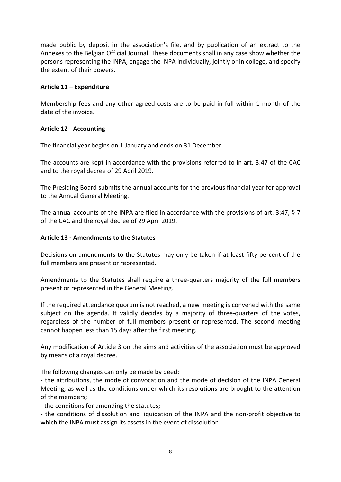made public by deposit in the association's file, and by publication of an extract to the Annexes to the Belgian Official Journal. These documents shall in any case show whether the persons representing the INPA, engage the INPA individually, jointly or in college, and specify the extent of their powers.

# **Article 11 – Expenditure**

Membership fees and any other agreed costs are to be paid in full within 1 month of the date of the invoice.

# **Article 12 - Accounting**

The financial year begins on 1 January and ends on 31 December.

The accounts are kept in accordance with the provisions referred to in art. 3:47 of the CAC and to the royal decree of 29 April 2019.

The Presiding Board submits the annual accounts for the previous financial year for approval to the Annual General Meeting.

The annual accounts of the INPA are filed in accordance with the provisions of art. 3:47, § 7 of the CAC and the royal decree of 29 April 2019.

# **Article 13 - Amendments to the Statutes**

Decisions on amendments to the Statutes may only be taken if at least fifty percent of the full members are present or represented.

Amendments to the Statutes shall require a three-quarters majority of the full members present or represented in the General Meeting.

If the required attendance quorum is not reached, a new meeting is convened with the same subject on the agenda. It validly decides by a majority of three-quarters of the votes, regardless of the number of full members present or represented. The second meeting cannot happen less than 15 days after the first meeting.

Any modification of Article 3 on the aims and activities of the association must be approved by means of a royal decree.

The following changes can only be made by deed:

- the attributions, the mode of convocation and the mode of decision of the INPA General Meeting, as well as the conditions under which its resolutions are brought to the attention of the members;

- the conditions for amending the statutes;

- the conditions of dissolution and liquidation of the INPA and the non-profit objective to which the INPA must assign its assets in the event of dissolution.